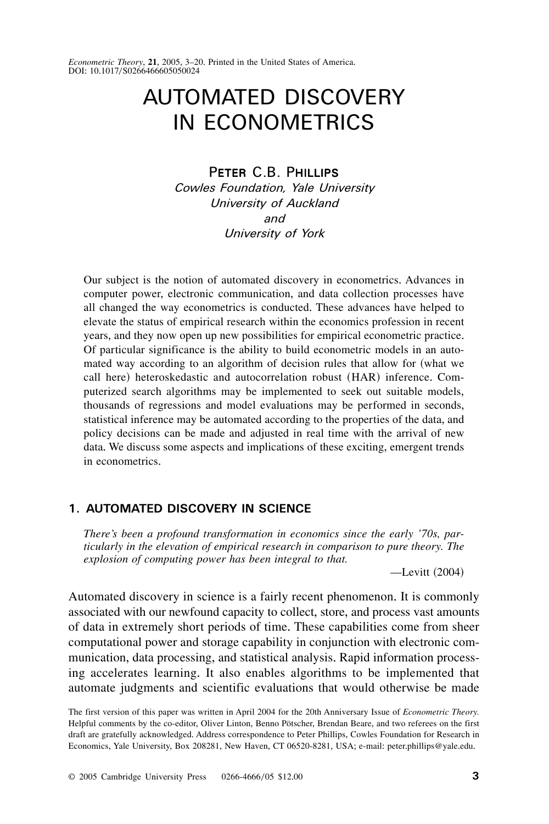*Econometric Theory*, 21, 2005, 3–20. Printed in the United States of America. DOI: 10.1017/S0266466605050024

# AUTOMATED DISCOVERY IN ECONOMETRICS

## PETER C.B. PHILLIPS

*Cowles Foundation, Yale University University of Auckland and University of York*

Our subject is the notion of automated discovery in econometrics. Advances in computer power, electronic communication, and data collection processes have all changed the way econometrics is conducted. These advances have helped to elevate the status of empirical research within the economics profession in recent years, and they now open up new possibilities for empirical econometric practice+ Of particular significance is the ability to build econometric models in an automated way according to an algorithm of decision rules that allow for (what we call here) heteroskedastic and autocorrelation robust (HAR) inference. Computerized search algorithms may be implemented to seek out suitable models, thousands of regressions and model evaluations may be performed in seconds, statistical inference may be automated according to the properties of the data, and policy decisions can be made and adjusted in real time with the arrival of new data. We discuss some aspects and implications of these exciting, emergent trends in econometrics.

## **1. AUTOMATED DISCOVERY IN SCIENCE**

*There's been a profound transformation in economics since the early '70s, particularly in the elevation of empirical research in comparison to pure theory. The explosion of computing power has been integral to that.*

 $-$ Levitt  $(2004)$ 

Automated discovery in science is a fairly recent phenomenon. It is commonly associated with our newfound capacity to collect, store, and process vast amounts of data in extremely short periods of time+ These capabilities come from sheer computational power and storage capability in conjunction with electronic communication, data processing, and statistical analysis. Rapid information processing accelerates learning. It also enables algorithms to be implemented that automate judgments and scientific evaluations that would otherwise be made

The first version of this paper was written in April 2004 for the 20th Anniversary Issue of *Econometric Theory.* Helpful comments by the co-editor, Oliver Linton, Benno Pötscher, Brendan Beare, and two referees on the first draft are gratefully acknowledged. Address correspondence to Peter Phillips, Cowles Foundation for Research in Economics, Yale University, Box 208281, New Haven, CT 06520-8281, USA; e-mail: peter.phillips@yale.edu.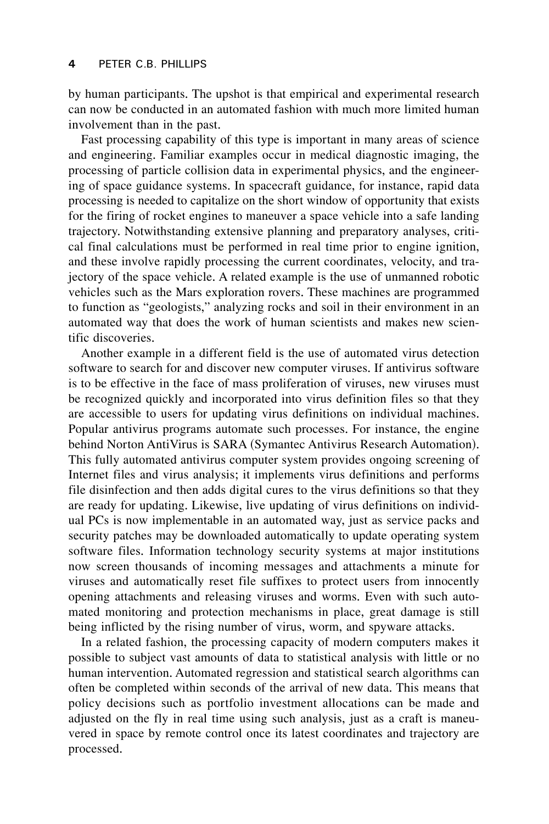by human participants. The upshot is that empirical and experimental research can now be conducted in an automated fashion with much more limited human involvement than in the past.

Fast processing capability of this type is important in many areas of science and engineering. Familiar examples occur in medical diagnostic imaging, the processing of particle collision data in experimental physics, and the engineering of space guidance systems. In spacecraft guidance, for instance, rapid data processing is needed to capitalize on the short window of opportunity that exists for the firing of rocket engines to maneuver a space vehicle into a safe landing trajectory. Notwithstanding extensive planning and preparatory analyses, critical final calculations must be performed in real time prior to engine ignition, and these involve rapidly processing the current coordinates, velocity, and trajectory of the space vehicle. A related example is the use of unmanned robotic vehicles such as the Mars exploration rovers. These machines are programmed to function as "geologists," analyzing rocks and soil in their environment in an automated way that does the work of human scientists and makes new scientific discoveries.

Another example in a different field is the use of automated virus detection software to search for and discover new computer viruses. If antivirus software is to be effective in the face of mass proliferation of viruses, new viruses must be recognized quickly and incorporated into virus definition files so that they are accessible to users for updating virus definitions on individual machines. Popular antivirus programs automate such processes. For instance, the engine behind Norton AntiVirus is SARA (Symantec Antivirus Research Automation). This fully automated antivirus computer system provides ongoing screening of Internet files and virus analysis; it implements virus definitions and performs file disinfection and then adds digital cures to the virus definitions so that they are ready for updating. Likewise, live updating of virus definitions on individual PCs is now implementable in an automated way, just as service packs and security patches may be downloaded automatically to update operating system software files. Information technology security systems at major institutions now screen thousands of incoming messages and attachments a minute for viruses and automatically reset file suffixes to protect users from innocently opening attachments and releasing viruses and worms. Even with such automated monitoring and protection mechanisms in place, great damage is still being inflicted by the rising number of virus, worm, and spyware attacks.

In a related fashion, the processing capacity of modern computers makes it possible to subject vast amounts of data to statistical analysis with little or no human intervention. Automated regression and statistical search algorithms can often be completed within seconds of the arrival of new data+ This means that policy decisions such as portfolio investment allocations can be made and adjusted on the fly in real time using such analysis, just as a craft is maneuvered in space by remote control once its latest coordinates and trajectory are processed.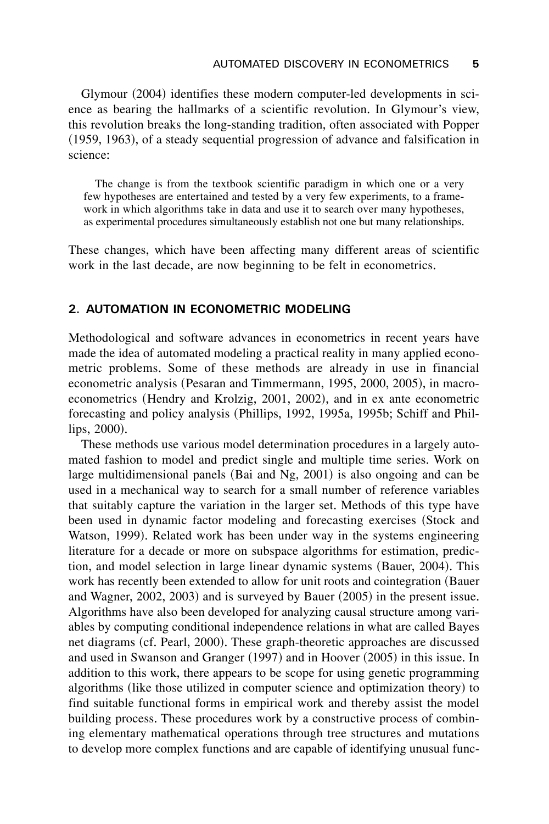Glymour (2004) identifies these modern computer-led developments in science as bearing the hallmarks of a scientific revolution. In Glymour's view, this revolution breaks the long-standing tradition, often associated with Popper  $(1959, 1963)$ , of a steady sequential progression of advance and falsification in science:

The change is from the textbook scientific paradigm in which one or a very few hypotheses are entertained and tested by a very few experiments, to a framework in which algorithms take in data and use it to search over many hypotheses, as experimental procedures simultaneously establish not one but many relationships.

These changes, which have been affecting many different areas of scientific work in the last decade, are now beginning to be felt in econometrics.

### **2. AUTOMATION IN ECONOMETRIC MODELING**

Methodological and software advances in econometrics in recent years have made the idea of automated modeling a practical reality in many applied econometric problems. Some of these methods are already in use in financial econometric analysis (Pesaran and Timmermann, 1995, 2000, 2005), in macroeconometrics (Hendry and Krolzig, 2001, 2002), and in ex ante econometric forecasting and policy analysis (Phillips, 1992, 1995a, 1995b; Schiff and Phillips,  $2000$ ).

These methods use various model determination procedures in a largely automated fashion to model and predict single and multiple time series. Work on large multidimensional panels  $(Bai$  and  $Ng$ , 2001) is also ongoing and can be used in a mechanical way to search for a small number of reference variables that suitably capture the variation in the larger set. Methods of this type have been used in dynamic factor modeling and forecasting exercises (Stock and Watson, 1999). Related work has been under way in the systems engineering literature for a decade or more on subspace algorithms for estimation, prediction, and model selection in large linear dynamic systems (Bauer, 2004). This work has recently been extended to allow for unit roots and cointegration (Bauer and Wagner,  $2002$ ,  $2003$ ) and is surveyed by Bauer  $(2005)$  in the present issue. Algorithms have also been developed for analyzing causal structure among variables by computing conditional independence relations in what are called Bayes net diagrams (cf. Pearl, 2000). These graph-theoretic approaches are discussed and used in Swanson and Granger  $(1997)$  and in Hoover  $(2005)$  in this issue. In addition to this work, there appears to be scope for using genetic programming algorithms (like those utilized in computer science and optimization theory) to find suitable functional forms in empirical work and thereby assist the model building process. These procedures work by a constructive process of combining elementary mathematical operations through tree structures and mutations to develop more complex functions and are capable of identifying unusual func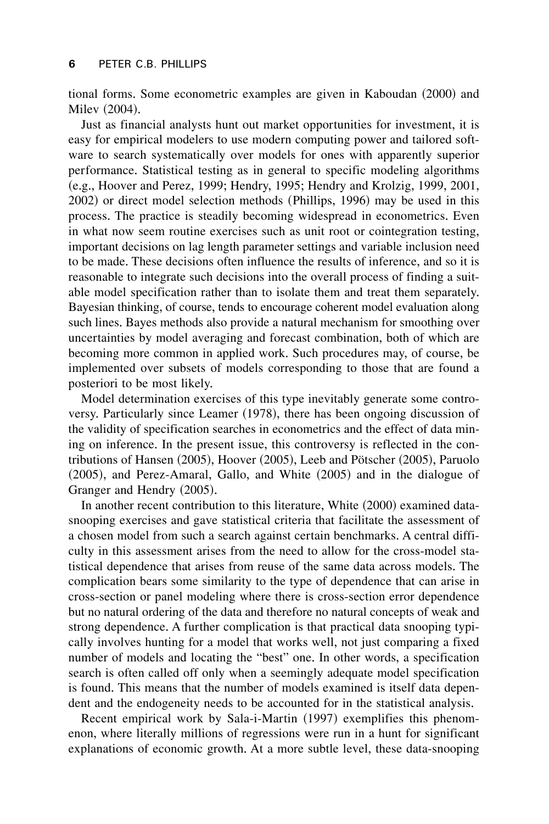tional forms. Some econometric examples are given in Kaboudan (2000) and Milev  $(2004).$ 

Just as financial analysts hunt out market opportunities for investment, it is easy for empirical modelers to use modern computing power and tailored software to search systematically over models for ones with apparently superior performance. Statistical testing as in general to specific modeling algorithms  $(e.g., Hoover and Perez, 1999; Hendry, 1995; Hendry and Krolzig, 1999, 2001,$  $2002$ ) or direct model selection methods (Phillips, 1996) may be used in this process. The practice is steadily becoming widespread in econometrics. Even in what now seem routine exercises such as unit root or cointegration testing, important decisions on lag length parameter settings and variable inclusion need to be made. These decisions often influence the results of inference, and so it is reasonable to integrate such decisions into the overall process of finding a suitable model specification rather than to isolate them and treat them separately. Bayesian thinking, of course, tends to encourage coherent model evaluation along such lines. Bayes methods also provide a natural mechanism for smoothing over uncertainties by model averaging and forecast combination, both of which are becoming more common in applied work+ Such procedures may, of course, be implemented over subsets of models corresponding to those that are found a posteriori to be most likely.

Model determination exercises of this type inevitably generate some controversy, Particularly since Leamer (1978), there has been ongoing discussion of the validity of specification searches in econometrics and the effect of data mining on inference. In the present issue, this controversy is reflected in the contributions of Hansen (2005), Hoover (2005), Leeb and Pötscher (2005), Paruolo  $(2005)$ , and Perez-Amaral, Gallo, and White  $(2005)$  and in the dialogue of Granger and Hendry  $(2005)$ .

In another recent contribution to this literature, White (2000) examined datasnooping exercises and gave statistical criteria that facilitate the assessment of a chosen model from such a search against certain benchmarks. A central difficulty in this assessment arises from the need to allow for the cross-model statistical dependence that arises from reuse of the same data across models+ The complication bears some similarity to the type of dependence that can arise in cross-section or panel modeling where there is cross-section error dependence but no natural ordering of the data and therefore no natural concepts of weak and strong dependence. A further complication is that practical data snooping typically involves hunting for a model that works well, not just comparing a fixed number of models and locating the "best" one. In other words, a specification search is often called off only when a seemingly adequate model specification is found. This means that the number of models examined is itself data dependent and the endogeneity needs to be accounted for in the statistical analysis.

Recent empirical work by Sala-i-Martin (1997) exemplifies this phenomenon, where literally millions of regressions were run in a hunt for significant explanations of economic growth. At a more subtle level, these data-snooping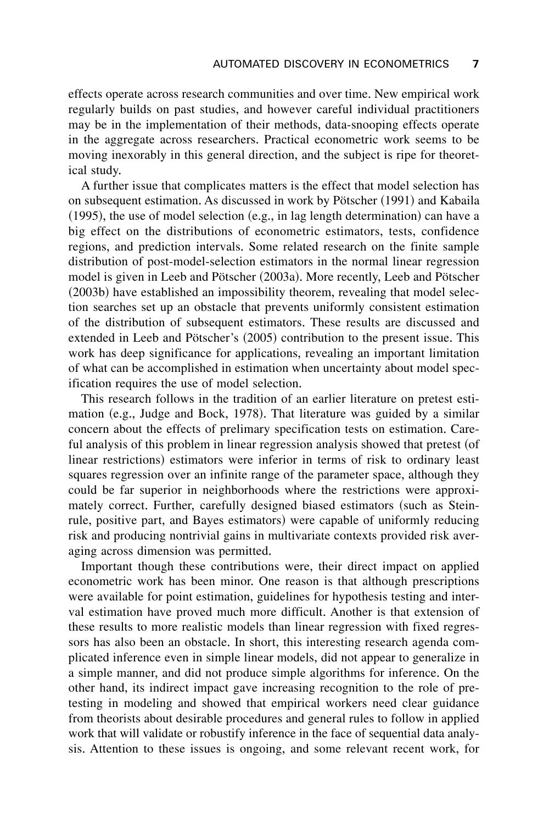effects operate across research communities and over time. New empirical work regularly builds on past studies, and however careful individual practitioners may be in the implementation of their methods, data-snooping effects operate in the aggregate across researchers. Practical econometric work seems to be moving inexorably in this general direction, and the subject is ripe for theoretical study.

A further issue that complicates matters is the effect that model selection has on subsequent estimation. As discussed in work by Pötscher (1991) and Kabaila  $(1995)$ , the use of model selection  $(e.g., in lag length determination)$  can have a big effect on the distributions of econometric estimators, tests, confidence regions, and prediction intervals. Some related research on the finite sample distribution of post-model-selection estimators in the normal linear regression model is given in Leeb and Pötscher (2003a). More recently, Leeb and Pötscher  $(2003b)$  have established an impossibility theorem, revealing that model selection searches set up an obstacle that prevents uniformly consistent estimation of the distribution of subsequent estimators+ These results are discussed and extended in Leeb and Pötscher's  $(2005)$  contribution to the present issue. This work has deep significance for applications, revealing an important limitation of what can be accomplished in estimation when uncertainty about model specification requires the use of model selection.

This research follows in the tradition of an earlier literature on pretest estimation  $(e.g., Judge and Bock, 1978)$ . That literature was guided by a similar concern about the effects of prelimary specification tests on estimation. Careful analysis of this problem in linear regression analysis showed that pretest (of linear restrictions) estimators were inferior in terms of risk to ordinary least squares regression over an infinite range of the parameter space, although they could be far superior in neighborhoods where the restrictions were approximately correct. Further, carefully designed biased estimators (such as Steinrule, positive part, and Bayes estimators) were capable of uniformly reducing risk and producing nontrivial gains in multivariate contexts provided risk averaging across dimension was permitted.

Important though these contributions were, their direct impact on applied econometric work has been minor. One reason is that although prescriptions were available for point estimation, guidelines for hypothesis testing and interval estimation have proved much more difficult. Another is that extension of these results to more realistic models than linear regression with fixed regressors has also been an obstacle. In short, this interesting research agenda complicated inference even in simple linear models, did not appear to generalize in a simple manner, and did not produce simple algorithms for inference. On the other hand, its indirect impact gave increasing recognition to the role of pretesting in modeling and showed that empirical workers need clear guidance from theorists about desirable procedures and general rules to follow in applied work that will validate or robustify inference in the face of sequential data analysis. Attention to these issues is ongoing, and some relevant recent work, for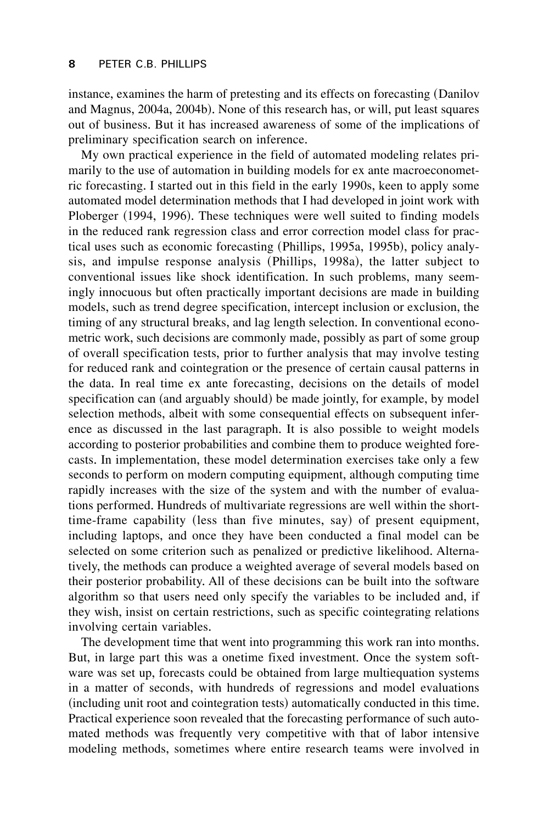instance, examines the harm of pretesting and its effects on forecasting (Danilov and Magnus, 2004a, 2004b). None of this research has, or will, put least squares out of business+ But it has increased awareness of some of the implications of preliminary specification search on inference.

My own practical experience in the field of automated modeling relates primarily to the use of automation in building models for ex ante macroeconometric forecasting. I started out in this field in the early 1990s, keen to apply some automated model determination methods that I had developed in joint work with Ploberger (1994, 1996). These techniques were well suited to finding models in the reduced rank regression class and error correction model class for practical uses such as economic forecasting (Phillips, 1995a, 1995b), policy analysis, and impulse response analysis (Phillips, 1998a), the latter subject to conventional issues like shock identification. In such problems, many seemingly innocuous but often practically important decisions are made in building models, such as trend degree specification, intercept inclusion or exclusion, the timing of any structural breaks, and lag length selection. In conventional econometric work, such decisions are commonly made, possibly as part of some group of overall specification tests, prior to further analysis that may involve testing for reduced rank and cointegration or the presence of certain causal patterns in the data. In real time ex ante forecasting, decisions on the details of model specification can (and arguably should) be made jointly, for example, by model selection methods, albeit with some consequential effects on subsequent inference as discussed in the last paragraph. It is also possible to weight models according to posterior probabilities and combine them to produce weighted forecasts. In implementation, these model determination exercises take only a few seconds to perform on modern computing equipment, although computing time rapidly increases with the size of the system and with the number of evaluations performed. Hundreds of multivariate regressions are well within the shorttime-frame capability (less than five minutes, say) of present equipment, including laptops, and once they have been conducted a final model can be selected on some criterion such as penalized or predictive likelihood. Alternatively, the methods can produce a weighted average of several models based on their posterior probability+ All of these decisions can be built into the software algorithm so that users need only specify the variables to be included and, if they wish, insist on certain restrictions, such as specific cointegrating relations involving certain variables.

The development time that went into programming this work ran into months. But, in large part this was a onetime fixed investment. Once the system software was set up, forecasts could be obtained from large multiequation systems in a matter of seconds, with hundreds of regressions and model evaluations  $(including unit root and cointegration tests) automatically conducted in this time.$ Practical experience soon revealed that the forecasting performance of such automated methods was frequently very competitive with that of labor intensive modeling methods, sometimes where entire research teams were involved in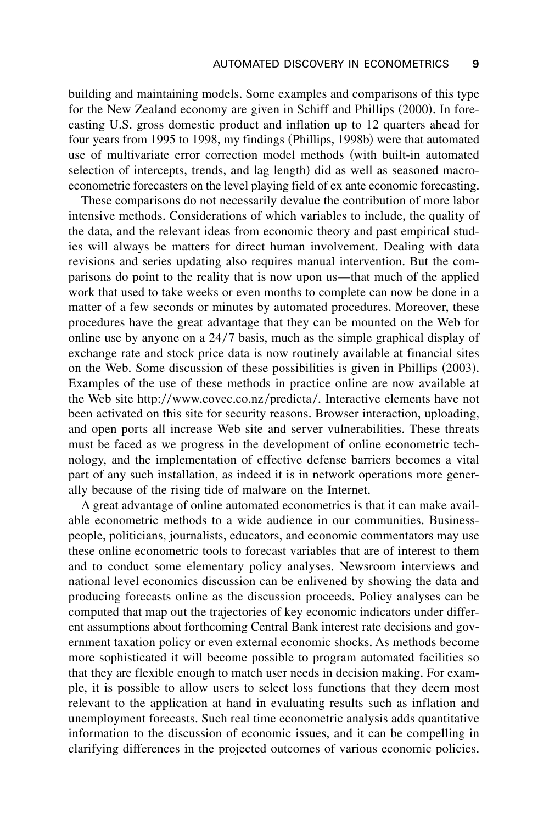building and maintaining models. Some examples and comparisons of this type for the New Zealand economy are given in Schiff and Phillips (2000). In forecasting U.S. gross domestic product and inflation up to 12 quarters ahead for four years from 1995 to 1998, my findings (Phillips, 1998b) were that automated use of multivariate error correction model methods (with built-in automated selection of intercepts, trends, and lag length) did as well as seasoned macroeconometric forecasters on the level playing field of ex ante economic forecasting+

These comparisons do not necessarily devalue the contribution of more labor intensive methods. Considerations of which variables to include, the quality of the data, and the relevant ideas from economic theory and past empirical studies will always be matters for direct human involvement. Dealing with data revisions and series updating also requires manual intervention. But the comparisons do point to the reality that is now upon us—that much of the applied work that used to take weeks or even months to complete can now be done in a matter of a few seconds or minutes by automated procedures. Moreover, these procedures have the great advantage that they can be mounted on the Web for online use by anyone on a  $24/7$  basis, much as the simple graphical display of exchange rate and stock price data is now routinely available at financial sites on the Web. Some discussion of these possibilities is given in Phillips  $(2003)$ . Examples of the use of these methods in practice online are now available at the Web site http://www.covec.co.nz/predicta/. Interactive elements have not been activated on this site for security reasons. Browser interaction, uploading, and open ports all increase Web site and server vulnerabilities. These threats must be faced as we progress in the development of online econometric technology, and the implementation of effective defense barriers becomes a vital part of any such installation, as indeed it is in network operations more generally because of the rising tide of malware on the Internet.

A great advantage of online automated econometrics is that it can make available econometric methods to a wide audience in our communities. Businesspeople, politicians, journalists, educators, and economic commentators may use these online econometric tools to forecast variables that are of interest to them and to conduct some elementary policy analyses. Newsroom interviews and national level economics discussion can be enlivened by showing the data and producing forecasts online as the discussion proceeds. Policy analyses can be computed that map out the trajectories of key economic indicators under different assumptions about forthcoming Central Bank interest rate decisions and government taxation policy or even external economic shocks+ As methods become more sophisticated it will become possible to program automated facilities so that they are flexible enough to match user needs in decision making. For example, it is possible to allow users to select loss functions that they deem most relevant to the application at hand in evaluating results such as inflation and unemployment forecasts. Such real time econometric analysis adds quantitative information to the discussion of economic issues, and it can be compelling in clarifying differences in the projected outcomes of various economic policies.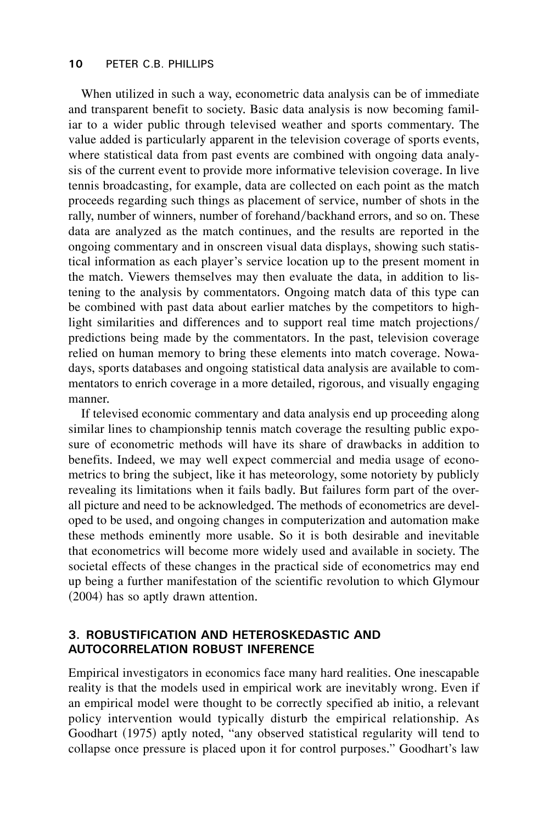#### **10** PETER C.B. PHILLIPS

When utilized in such a way, econometric data analysis can be of immediate and transparent benefit to society. Basic data analysis is now becoming familiar to a wider public through televised weather and sports commentary. The value added is particularly apparent in the television coverage of sports events, where statistical data from past events are combined with ongoing data analysis of the current event to provide more informative television coverage. In live tennis broadcasting, for example, data are collected on each point as the match proceeds regarding such things as placement of service, number of shots in the rally, number of winners, number of forehand/backhand errors, and so on. These data are analyzed as the match continues, and the results are reported in the ongoing commentary and in onscreen visual data displays, showing such statistical information as each player's service location up to the present moment in the match. Viewers themselves may then evaluate the data, in addition to listening to the analysis by commentators. Ongoing match data of this type can be combined with past data about earlier matches by the competitors to highlight similarities and differences and to support real time match projections/ predictions being made by the commentators. In the past, television coverage relied on human memory to bring these elements into match coverage. Nowadays, sports databases and ongoing statistical data analysis are available to commentators to enrich coverage in a more detailed, rigorous, and visually engaging manner+

If televised economic commentary and data analysis end up proceeding along similar lines to championship tennis match coverage the resulting public exposure of econometric methods will have its share of drawbacks in addition to benefits. Indeed, we may well expect commercial and media usage of econometrics to bring the subject, like it has meteorology, some notoriety by publicly revealing its limitations when it fails badly. But failures form part of the overall picture and need to be acknowledged. The methods of econometrics are developed to be used, and ongoing changes in computerization and automation make these methods eminently more usable. So it is both desirable and inevitable that econometrics will become more widely used and available in society+ The societal effects of these changes in the practical side of econometrics may end up being a further manifestation of the scientific revolution to which Glymour  $(2004)$  has so aptly drawn attention.

### **3. ROBUSTIFICATION AND HETEROSKEDASTIC AND AUTOCORRELATION ROBUST INFERENCE**

Empirical investigators in economics face many hard realities. One inescapable reality is that the models used in empirical work are inevitably wrong. Even if an empirical model were thought to be correctly specified ab initio, a relevant policy intervention would typically disturb the empirical relationship. As Goodhart (1975) aptly noted, "any observed statistical regularity will tend to collapse once pressure is placed upon it for control purposes." Goodhart's law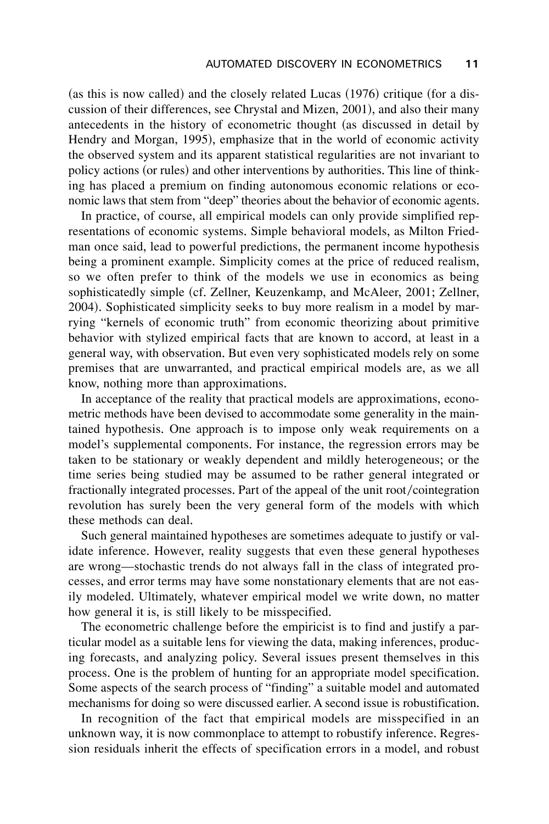(as this is now called) and the closely related Lucas  $(1976)$  critique (for a discussion of their differences, see Chrystal and Mizen, 2001), and also their many antecedents in the history of econometric thought (as discussed in detail by Hendry and Morgan, 1995), emphasize that in the world of economic activity the observed system and its apparent statistical regularities are not invariant to policy actions (or rules) and other interventions by authorities. This line of thinking has placed a premium on finding autonomous economic relations or economic laws that stem from "deep" theories about the behavior of economic agents.

In practice, of course, all empirical models can only provide simplified representations of economic systems. Simple behavioral models, as Milton Friedman once said, lead to powerful predictions, the permanent income hypothesis being a prominent example. Simplicity comes at the price of reduced realism, so we often prefer to think of the models we use in economics as being sophisticatedly simple (cf. Zellner, Keuzenkamp, and McAleer, 2001; Zellner, 2004). Sophisticated simplicity seeks to buy more realism in a model by marrying "kernels of economic truth" from economic theorizing about primitive behavior with stylized empirical facts that are known to accord, at least in a general way, with observation+ But even very sophisticated models rely on some premises that are unwarranted, and practical empirical models are, as we all know, nothing more than approximations+

In acceptance of the reality that practical models are approximations, econometric methods have been devised to accommodate some generality in the maintained hypothesis+ One approach is to impose only weak requirements on a model's supplemental components. For instance, the regression errors may be taken to be stationary or weakly dependent and mildly heterogeneous; or the time series being studied may be assumed to be rather general integrated or fractionally integrated processes. Part of the appeal of the unit root/cointegration revolution has surely been the very general form of the models with which these methods can deal.

Such general maintained hypotheses are sometimes adequate to justify or validate inference. However, reality suggests that even these general hypotheses are wrong—stochastic trends do not always fall in the class of integrated processes, and error terms may have some nonstationary elements that are not easily modeled. Ultimately, whatever empirical model we write down, no matter how general it is, is still likely to be misspecified.

The econometric challenge before the empiricist is to find and justify a particular model as a suitable lens for viewing the data, making inferences, producing forecasts, and analyzing policy. Several issues present themselves in this process. One is the problem of hunting for an appropriate model specification. Some aspects of the search process of "finding" a suitable model and automated mechanisms for doing so were discussed earlier. A second issue is robustification.

In recognition of the fact that empirical models are misspecified in an unknown way, it is now commonplace to attempt to robustify inference. Regression residuals inherit the effects of specification errors in a model, and robust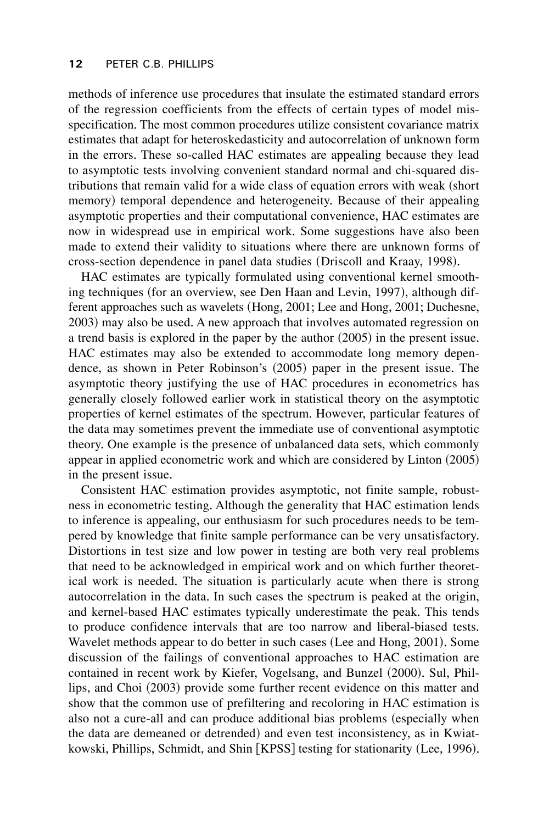methods of inference use procedures that insulate the estimated standard errors of the regression coefficients from the effects of certain types of model misspecification. The most common procedures utilize consistent covariance matrix estimates that adapt for heteroskedasticity and autocorrelation of unknown form in the errors. These so-called HAC estimates are appealing because they lead to asymptotic tests involving convenient standard normal and chi-squared distributions that remain valid for a wide class of equation errors with weak (short memory) temporal dependence and heterogeneity. Because of their appealing asymptotic properties and their computational convenience, HAC estimates are now in widespread use in empirical work. Some suggestions have also been made to extend their validity to situations where there are unknown forms of cross-section dependence in panel data studies (Driscoll and Kraay, 1998).

HAC estimates are typically formulated using conventional kernel smoothing techniques (for an overview, see Den Haan and Levin, 1997), although different approaches such as wavelets (Hong, 2001; Lee and Hong, 2001; Duchesne, 2003) may also be used. A new approach that involves automated regression on a trend basis is explored in the paper by the author  $(2005)$  in the present issue. HAC estimates may also be extended to accommodate long memory dependence, as shown in Peter Robinson's  $(2005)$  paper in the present issue. The asymptotic theory justifying the use of HAC procedures in econometrics has generally closely followed earlier work in statistical theory on the asymptotic properties of kernel estimates of the spectrum. However, particular features of the data may sometimes prevent the immediate use of conventional asymptotic theory. One example is the presence of unbalanced data sets, which commonly appear in applied econometric work and which are considered by Linton (2005) in the present issue.

Consistent HAC estimation provides asymptotic, not finite sample, robustness in econometric testing. Although the generality that HAC estimation lends to inference is appealing, our enthusiasm for such procedures needs to be tempered by knowledge that finite sample performance can be very unsatisfactory. Distortions in test size and low power in testing are both very real problems that need to be acknowledged in empirical work and on which further theoretical work is needed. The situation is particularly acute when there is strong autocorrelation in the data. In such cases the spectrum is peaked at the origin, and kernel-based HAC estimates typically underestimate the peak. This tends to produce confidence intervals that are too narrow and liberal-biased tests. Wavelet methods appear to do better in such cases (Lee and Hong, 2001). Some discussion of the failings of conventional approaches to HAC estimation are contained in recent work by Kiefer, Vogelsang, and Bunzel (2000). Sul, Phillips, and Choi (2003) provide some further recent evidence on this matter and show that the common use of prefiltering and recoloring in HAC estimation is also not a cure-all and can produce additional bias problems (especially when the data are demeaned or detrended) and even test inconsistency, as in Kwiatkowski, Phillips, Schmidt, and Shin [KPSS] testing for stationarity (Lee, 1996).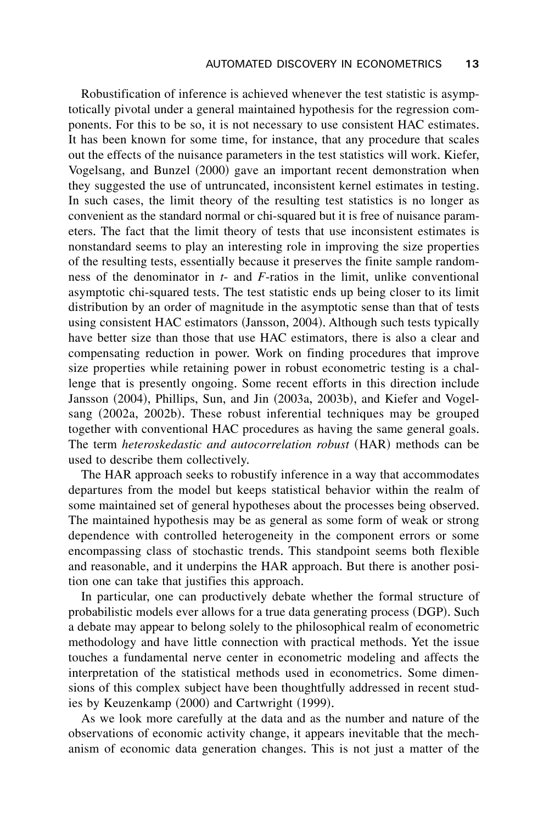Robustification of inference is achieved whenever the test statistic is asymptotically pivotal under a general maintained hypothesis for the regression components. For this to be so, it is not necessary to use consistent HAC estimates. It has been known for some time, for instance, that any procedure that scales out the effects of the nuisance parameters in the test statistics will work. Kiefer, Vogelsang, and Bunzel (2000) gave an important recent demonstration when they suggested the use of untruncated, inconsistent kernel estimates in testing+ In such cases, the limit theory of the resulting test statistics is no longer as convenient as the standard normal or chi-squared but it is free of nuisance parameters. The fact that the limit theory of tests that use inconsistent estimates is nonstandard seems to play an interesting role in improving the size properties of the resulting tests, essentially because it preserves the finite sample randomness of the denominator in *t*- and *F*-ratios in the limit, unlike conventional asymptotic chi-squared tests. The test statistic ends up being closer to its limit distribution by an order of magnitude in the asymptotic sense than that of tests using consistent HAC estimators (Jansson, 2004). Although such tests typically have better size than those that use HAC estimators, there is also a clear and compensating reduction in power. Work on finding procedures that improve size properties while retaining power in robust econometric testing is a challenge that is presently ongoing. Some recent efforts in this direction include Jansson (2004), Phillips, Sun, and Jin (2003a, 2003b), and Kiefer and Vogelsang  $(2002a, 2002b)$ . These robust inferential techniques may be grouped together with conventional HAC procedures as having the same general goals. The term *heteroskedastic and autocorrelation robust* (HAR) methods can be used to describe them collectively.

The HAR approach seeks to robustify inference in a way that accommodates departures from the model but keeps statistical behavior within the realm of some maintained set of general hypotheses about the processes being observed. The maintained hypothesis may be as general as some form of weak or strong dependence with controlled heterogeneity in the component errors or some encompassing class of stochastic trends. This standpoint seems both flexible and reasonable, and it underpins the HAR approach. But there is another position one can take that justifies this approach.

In particular, one can productively debate whether the formal structure of probabilistic models ever allows for a true data generating process (DGP). Such a debate may appear to belong solely to the philosophical realm of econometric methodology and have little connection with practical methods. Yet the issue touches a fundamental nerve center in econometric modeling and affects the interpretation of the statistical methods used in econometrics. Some dimensions of this complex subject have been thoughtfully addressed in recent studies by Keuzenkamp  $(2000)$  and Cartwright  $(1999)$ .

As we look more carefully at the data and as the number and nature of the observations of economic activity change, it appears inevitable that the mechanism of economic data generation changes. This is not just a matter of the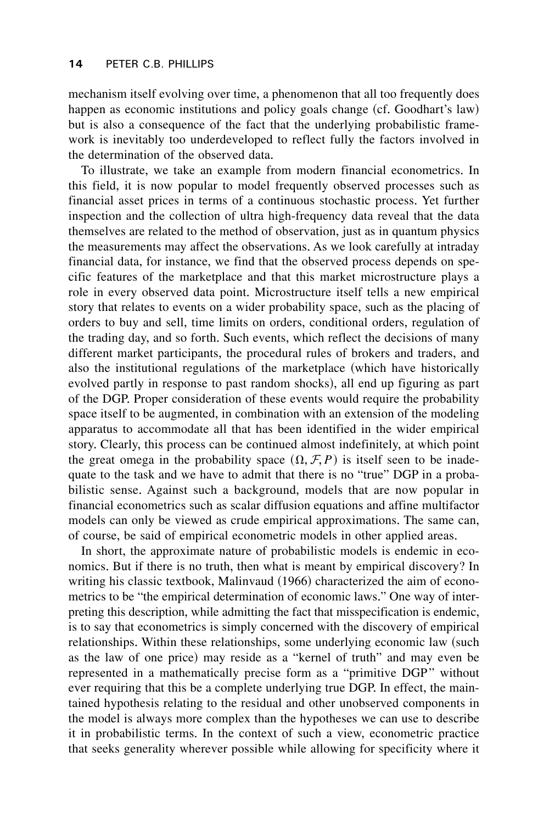mechanism itself evolving over time, a phenomenon that all too frequently does happen as economic institutions and policy goals change  $(cf. Goodhart's law)$ but is also a consequence of the fact that the underlying probabilistic framework is inevitably too underdeveloped to reflect fully the factors involved in the determination of the observed data.

To illustrate, we take an example from modern financial econometrics. In this field, it is now popular to model frequently observed processes such as financial asset prices in terms of a continuous stochastic process. Yet further inspection and the collection of ultra high-frequency data reveal that the data themselves are related to the method of observation, just as in quantum physics the measurements may affect the observations. As we look carefully at intraday financial data, for instance, we find that the observed process depends on specific features of the marketplace and that this market microstructure plays a role in every observed data point. Microstructure itself tells a new empirical story that relates to events on a wider probability space, such as the placing of orders to buy and sell, time limits on orders, conditional orders, regulation of the trading day, and so forth. Such events, which reflect the decisions of many different market participants, the procedural rules of brokers and traders, and also the institutional regulations of the marketplace (which have historically evolved partly in response to past random shocks), all end up figuring as part of the DGP. Proper consideration of these events would require the probability space itself to be augmented, in combination with an extension of the modeling apparatus to accommodate all that has been identified in the wider empirical story+ Clearly, this process can be continued almost indefinitely, at which point the great omega in the probability space  $(\Omega, \mathcal{F}, P)$  is itself seen to be inadequate to the task and we have to admit that there is no "true" DGP in a probabilistic sense. Against such a background, models that are now popular in financial econometrics such as scalar diffusion equations and affine multifactor models can only be viewed as crude empirical approximations. The same can, of course, be said of empirical econometric models in other applied areas.

In short, the approximate nature of probabilistic models is endemic in economics. But if there is no truth, then what is meant by empirical discovery? In writing his classic textbook, Malinvaud  $(1966)$  characterized the aim of econometrics to be "the empirical determination of economic laws." One way of interpreting this description, while admitting the fact that misspecification is endemic, is to say that econometrics is simply concerned with the discovery of empirical relationships. Within these relationships, some underlying economic law (such as the law of one price) may reside as a "kernel of truth" and may even be represented in a mathematically precise form as a "primitive DGP" without ever requiring that this be a complete underlying true DGP. In effect, the maintained hypothesis relating to the residual and other unobserved components in the model is always more complex than the hypotheses we can use to describe it in probabilistic terms. In the context of such a view, econometric practice that seeks generality wherever possible while allowing for specificity where it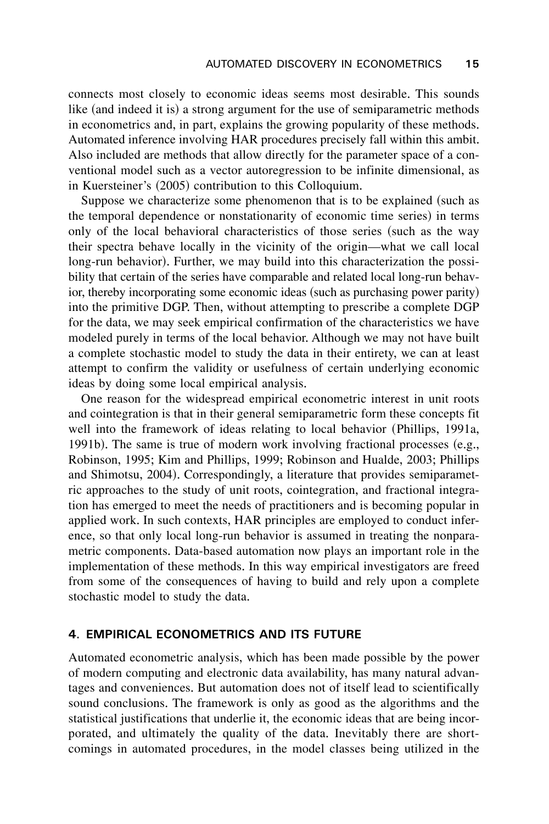connects most closely to economic ideas seems most desirable. This sounds like (and indeed it is) a strong argument for the use of semiparametric methods in econometrics and, in part, explains the growing popularity of these methods. Automated inference involving HAR procedures precisely fall within this ambit. Also included are methods that allow directly for the parameter space of a conventional model such as a vector autoregression to be infinite dimensional, as in Kuersteiner's  $(2005)$  contribution to this Colloquium.

Suppose we characterize some phenomenon that is to be explained (such as the temporal dependence or nonstationarity of economic time series) in terms only of the local behavioral characteristics of those series (such as the way their spectra behave locally in the vicinity of the origin—what we call local long-run behavior). Further, we may build into this characterization the possibility that certain of the series have comparable and related local long-run behavior, thereby incorporating some economic ideas (such as purchasing power parity) into the primitive DGP. Then, without attempting to prescribe a complete DGP for the data, we may seek empirical confirmation of the characteristics we have modeled purely in terms of the local behavior. Although we may not have built a complete stochastic model to study the data in their entirety, we can at least attempt to confirm the validity or usefulness of certain underlying economic ideas by doing some local empirical analysis.

One reason for the widespread empirical econometric interest in unit roots and cointegration is that in their general semiparametric form these concepts fit well into the framework of ideas relating to local behavior (Phillips, 1991a, 1991b). The same is true of modern work involving fractional processes  $(e.g.,$ Robinson, 1995; Kim and Phillips, 1999; Robinson and Hualde, 2003; Phillips and Shimotsu, 2004). Correspondingly, a literature that provides semiparametric approaches to the study of unit roots, cointegration, and fractional integration has emerged to meet the needs of practitioners and is becoming popular in applied work. In such contexts, HAR principles are employed to conduct inference, so that only local long-run behavior is assumed in treating the nonparametric components. Data-based automation now plays an important role in the implementation of these methods. In this way empirical investigators are freed from some of the consequences of having to build and rely upon a complete stochastic model to study the data.

#### **4. EMPIRICAL ECONOMETRICS AND ITS FUTURE**

Automated econometric analysis, which has been made possible by the power of modern computing and electronic data availability, has many natural advantages and conveniences. But automation does not of itself lead to scientifically sound conclusions. The framework is only as good as the algorithms and the statistical justifications that underlie it, the economic ideas that are being incorporated, and ultimately the quality of the data. Inevitably there are shortcomings in automated procedures, in the model classes being utilized in the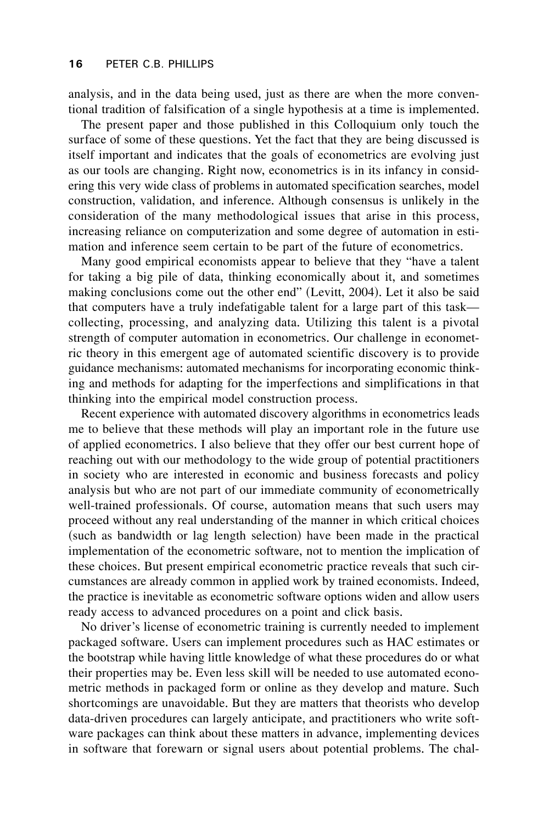analysis, and in the data being used, just as there are when the more conventional tradition of falsification of a single hypothesis at a time is implemented+

The present paper and those published in this Colloquium only touch the surface of some of these questions. Yet the fact that they are being discussed is itself important and indicates that the goals of econometrics are evolving just as our tools are changing. Right now, econometrics is in its infancy in considering this very wide class of problems in automated specification searches, model construction, validation, and inference+ Although consensus is unlikely in the consideration of the many methodological issues that arise in this process, increasing reliance on computerization and some degree of automation in estimation and inference seem certain to be part of the future of econometrics.

Many good empirical economists appear to believe that they "have a talent for taking a big pile of data, thinking economically about it, and sometimes making conclusions come out the other end" (Levitt, 2004). Let it also be said that computers have a truly indefatigable talent for a large part of this task collecting, processing, and analyzing data. Utilizing this talent is a pivotal strength of computer automation in econometrics. Our challenge in econometric theory in this emergent age of automated scientific discovery is to provide guidance mechanisms: automated mechanisms for incorporating economic thinking and methods for adapting for the imperfections and simplifications in that thinking into the empirical model construction process.

Recent experience with automated discovery algorithms in econometrics leads me to believe that these methods will play an important role in the future use of applied econometrics. I also believe that they offer our best current hope of reaching out with our methodology to the wide group of potential practitioners in society who are interested in economic and business forecasts and policy analysis but who are not part of our immediate community of econometrically well-trained professionals. Of course, automation means that such users may proceed without any real understanding of the manner in which critical choices (such as bandwidth or lag length selection) have been made in the practical implementation of the econometric software, not to mention the implication of these choices. But present empirical econometric practice reveals that such circumstances are already common in applied work by trained economists. Indeed, the practice is inevitable as econometric software options widen and allow users ready access to advanced procedures on a point and click basis.

No driver's license of econometric training is currently needed to implement packaged software. Users can implement procedures such as HAC estimates or the bootstrap while having little knowledge of what these procedures do or what their properties may be. Even less skill will be needed to use automated econometric methods in packaged form or online as they develop and mature. Such shortcomings are unavoidable. But they are matters that theorists who develop data-driven procedures can largely anticipate, and practitioners who write software packages can think about these matters in advance, implementing devices in software that forewarn or signal users about potential problems. The chal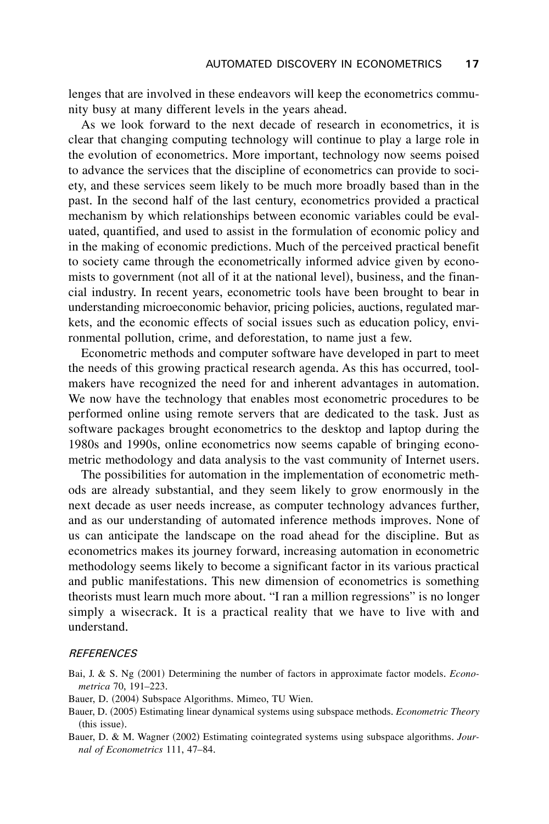lenges that are involved in these endeavors will keep the econometrics community busy at many different levels in the years ahead.

As we look forward to the next decade of research in econometrics, it is clear that changing computing technology will continue to play a large role in the evolution of econometrics. More important, technology now seems poised to advance the services that the discipline of econometrics can provide to society, and these services seem likely to be much more broadly based than in the past. In the second half of the last century, econometrics provided a practical mechanism by which relationships between economic variables could be evaluated, quantified, and used to assist in the formulation of economic policy and in the making of economic predictions. Much of the perceived practical benefit to society came through the econometrically informed advice given by economists to government (not all of it at the national level), business, and the financial industry. In recent years, econometric tools have been brought to bear in understanding microeconomic behavior, pricing policies, auctions, regulated markets, and the economic effects of social issues such as education policy, environmental pollution, crime, and deforestation, to name just a few.

Econometric methods and computer software have developed in part to meet the needs of this growing practical research agenda. As this has occurred, toolmakers have recognized the need for and inherent advantages in automation. We now have the technology that enables most econometric procedures to be performed online using remote servers that are dedicated to the task. Just as software packages brought econometrics to the desktop and laptop during the 1980s and 1990s, online econometrics now seems capable of bringing econometric methodology and data analysis to the vast community of Internet users.

The possibilities for automation in the implementation of econometric methods are already substantial, and they seem likely to grow enormously in the next decade as user needs increase, as computer technology advances further, and as our understanding of automated inference methods improves. None of us can anticipate the landscape on the road ahead for the discipline. But as econometrics makes its journey forward, increasing automation in econometric methodology seems likely to become a significant factor in its various practical and public manifestations. This new dimension of econometrics is something theorists must learn much more about. "I ran a million regressions" is no longer simply a wisecrack. It is a practical reality that we have to live with and understand.

#### *REFERENCES*

- Bai, J. & S. Ng (2001) Determining the number of factors in approximate factor models. *Econo*metrica 70, 191-223.
- Bauer, D. (2004) Subspace Algorithms. Mimeo, TU Wien.
- Bauer, D. (2005) Estimating linear dynamical systems using subspace methods. *Econometric Theory*  $(this issue).$
- Bauer, D. & M. Wagner (2002) Estimating cointegrated systems using subspace algorithms. *Jour*nal of Econometrics 111, 47-84.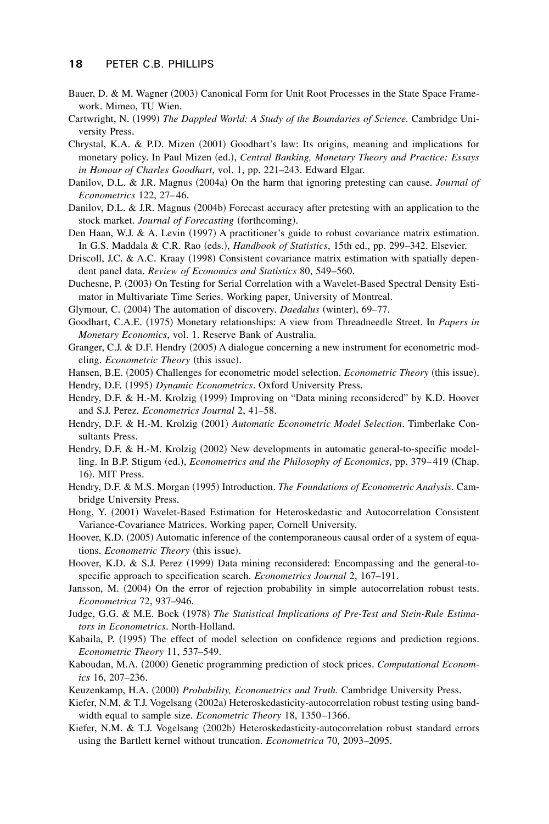#### **18** PETER C.B. PHILLIPS

- Bauer, D. & M. Wagner (2003) Canonical Form for Unit Root Processes in the State Space Framework. Mimeo, TU Wien.
- Cartwright, N. (1999) *The Dappled World: A Study of the Boundaries of Science*. Cambridge University Press.
- Chrystal, K.A. & P.D. Mizen  $(2001)$  Goodhart's law: Its origins, meaning and implications for monetary policy. In Paul Mizen (ed.), *Central Banking, Monetary Theory and Practice: Essays in Honour of Charles Goodhart*, vol. 1, pp. 221–243. Edward Elgar.
- Danilov, D.L. & J.R. Magnus (2004a) On the harm that ignoring pretesting can cause. *Journal of Econometrics* 122, 27-46.
- Danilov, D.L. & J.R. Magnus (2004b) Forecast accuracy after pretesting with an application to the stock market. *Journal of Forecasting* (forthcoming).
- Den Haan, W.J. & A. Levin  $(1997)$  A practitioner's guide to robust covariance matrix estimation. In G.S. Maddala & C.R. Rao (eds.), *Handbook of Statistics*, 15th ed., pp. 299–342. Elsevier.
- Driscoll, J.C. & A.C. Kraay (1998) Consistent covariance matrix estimation with spatially dependent panel data. *Review of Economics and Statistics* 80, 549–560.
- Duchesne, P. (2003) On Testing for Serial Correlation with a Wavelet-Based Spectral Density Estimator in Multivariate Time Series. Working paper, University of Montreal.
- Glymour, C. (2004) The automation of discovery. *Daedalus* (winter), 69–77.
- Goodhart, C.A.E. (1975) Monetary relationships: A view from Threadneedle Street. In *Papers in Monetary Economics*, vol. 1. Reserve Bank of Australia.
- Granger, C.J. & D.F. Hendry (2005) A dialogue concerning a new instrument for econometric modeling. *Econometric Theory* (this issue).
- Hansen, B.E. (2005) Challenges for econometric model selection. *Econometric Theory* (this issue).
- Hendry, D.F. (1995) *Dynamic Econometrics*. Oxford University Press.
- Hendry, D.F. & H.-M. Krolzig (1999) Improving on "Data mining reconsidered" by K.D. Hoover and S.J. Perez. *Econometrics Journal* 2, 41–58.
- Hendry, D.F. & H.-M. Krolzig (2001) *Automatic Econometric Model Selection*. Timberlake Consultants Press.
- Hendry, D.F. & H.-M. Krolzig  $(2002)$  New developments in automatic general-to-specific modelling. In B.P. Stigum (ed.), *Econometrics and the Philosophy of Economics*, pp. 379–419 (Chap. 16). MIT Press.
- Hendry, D.F. & M.S. Morgan (1995) Introduction. *The Foundations of Econometric Analysis*. Cambridge University Press.
- Hong, Y. (2001) Wavelet-Based Estimation for Heteroskedastic and Autocorrelation Consistent Variance-Covariance Matrices. Working paper, Cornell University.
- Hoover, K.D. (2005) Automatic inference of the contemporaneous causal order of a system of equations. *Econometric Theory* (this issue).
- Hoover, K.D. & S.J. Perez  $(1999)$  Data mining reconsidered: Encompassing and the general-tospecific approach to specification search. *Econometrics Journal* 2, 167–191.
- Jansson, M. (2004) On the error of rejection probability in simple autocorrelation robust tests. *Econometrica* 72, 937–946+
- Judge, G.G. & M.E. Bock (1978) The Statistical Implications of Pre-Test and Stein-Rule Estimators in Econometrics, North-Holland,
- Kabaila, P. (1995) The effect of model selection on confidence regions and prediction regions. *Econometric Theory* 11, 537–549+
- Kaboudan, M.A. (2000) Genetic programming prediction of stock prices. *Computational Economics* 16, 207–236.
- Keuzenkamp, H.A. (2000) *Probability, Econometrics and Truth.* Cambridge University Press.
- Kiefer, N.M. & T.J. Vogelsang (2002a) Heteroskedasticity-autocorrelation robust testing using bandwidth equal to sample size. *Econometric Theory* 18, 1350–1366.
- Kiefer, N.M. & T.J. Vogelsang (2002b) Heteroskedasticity-autocorrelation robust standard errors using the Bartlett kernel without truncation. *Econometrica* 70, 2093–2095.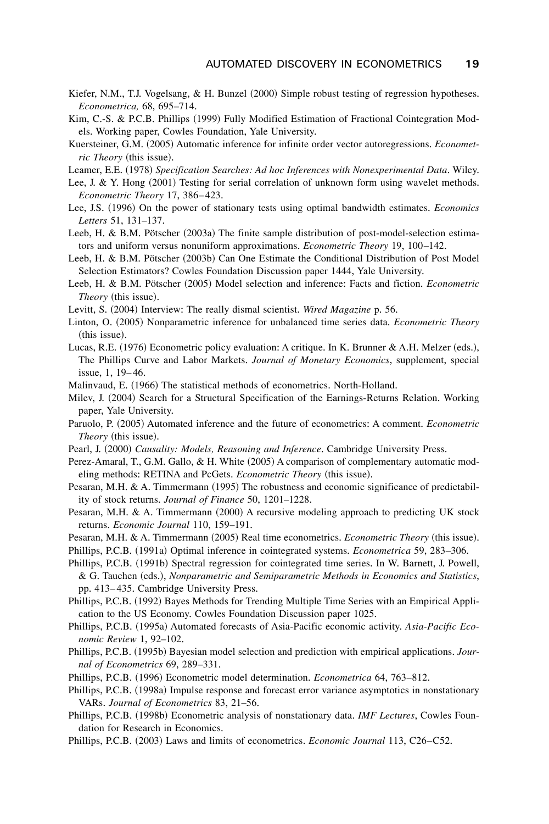- Kiefer, N.M., T.J. Vogelsang, & H. Bunzel (2000) Simple robust testing of regression hypotheses. *Econometrica,* 68, 695–714.
- Kim, C.-S. & P.C.B. Phillips (1999) Fully Modified Estimation of Fractional Cointegration Models. Working paper, Cowles Foundation, Yale University.
- Kuersteiner, G.M. (2005) Automatic inference for infinite order vector autoregressions. *Econometric Theory* (this issue).
- Leamer, E.E. (1978) *Specification Searches: Ad hoc Inferences with Nonexperimental Data*. Wiley.
- Lee, J. & Y. Hong  $(2001)$  Testing for serial correlation of unknown form using wavelet methods. *Econometric Theory* 17, 386-423.
- Lee, J.S. (1996) On the power of stationary tests using optimal bandwidth estimates. *Economics Letters* 51, 131–137+
- Leeb, H. & B.M. Pötscher (2003a) The finite sample distribution of post-model-selection estimators and uniform versus nonuniform approximations. *Econometric Theory* 19, 100–142.
- Leeb, H. & B.M. Pötscher (2003b) Can One Estimate the Conditional Distribution of Post Model Selection Estimators? Cowles Foundation Discussion paper 1444, Yale University+
- Leeb, H. & B.M. Pötscher (2005) Model selection and inference: Facts and fiction. *Econometric Theory* (this issue).
- Levitt, S. (2004) Interview: The really dismal scientist. *Wired Magazine* p. 56.
- Linton, O. (2005) Nonparametric inference for unbalanced time series data. *Econometric Theory* (this issue).
- Lucas, R.E. (1976) Econometric policy evaluation: A critique. In K. Brunner & A.H. Melzer (eds.), The Phillips Curve and Labor Markets. *Journal of Monetary Economics*, supplement, special issue, 1, 19-46.
- Malinvaud, E. (1966) The statistical methods of econometrics. North-Holland.
- Milev, J. (2004) Search for a Structural Specification of the Earnings-Returns Relation. Working paper, Yale University.
- Paruolo, P. (2005) Automated inference and the future of econometrics: A comment. *Econometric Theory* (this issue).
- Pearl, J. (2000) *Causality: Models, Reasoning and Inference*. Cambridge University Press.
- Perez-Amaral, T., G.M. Gallo,  $\&$  H. White  $(2005)$  A comparison of complementary automatic modeling methods: RETINA and PcGets. *Econometric Theory* (this issue).
- Pesaran, M.H. & A. Timmermann (1995) The robustness and economic significance of predictability of stock returns. *Journal of Finance* 50, 1201–1228.
- Pesaran, M.H. & A. Timmermann (2000) A recursive modeling approach to predicting UK stock returns. *Economic Journal* 110, 159-191.
- Pesaran, M.H. & A. Timmermann (2005) Real time econometrics. *Econometric Theory* (this issue).
- Phillips, P.C.B. (1991a) Optimal inference in cointegrated systems. *Econometrica* 59, 283–306.
- Phillips, P.C.B. (1991b) Spectral regression for cointegrated time series. In W. Barnett, J. Powell, & G. Tauchen (eds.), *Nonparametric and Semiparametric Methods in Economics and Statistics*, pp. 413–435. Cambridge University Press.
- Phillips, P.C.B. (1992) Bayes Methods for Trending Multiple Time Series with an Empirical Application to the US Economy. Cowles Foundation Discussion paper 1025.
- Phillips, P.C.B. (1995a) Automated forecasts of Asia-Pacific economic activity. *Asia-Pacific Economic Review* 1, 92–102+
- Phillips, P.C.B. (1995b) Bayesian model selection and prediction with empirical applications. *Jour*nal of Econometrics 69, 289-331.
- Phillips, P.C.B. (1996) Econometric model determination. *Econometrica* 64, 763–812.
- Phillips, P.C.B. (1998a) Impulse response and forecast error variance asymptotics in nonstationary VARs. *Journal of Econometrics* 83, 21–56.
- Phillips, P.C.B. (1998b) Econometric analysis of nonstationary data. *IMF Lectures*, Cowles Foundation for Research in Economics.
- Phillips, P.C.B. (2003) Laws and limits of econometrics. *Economic Journal* 113, C26–C52.